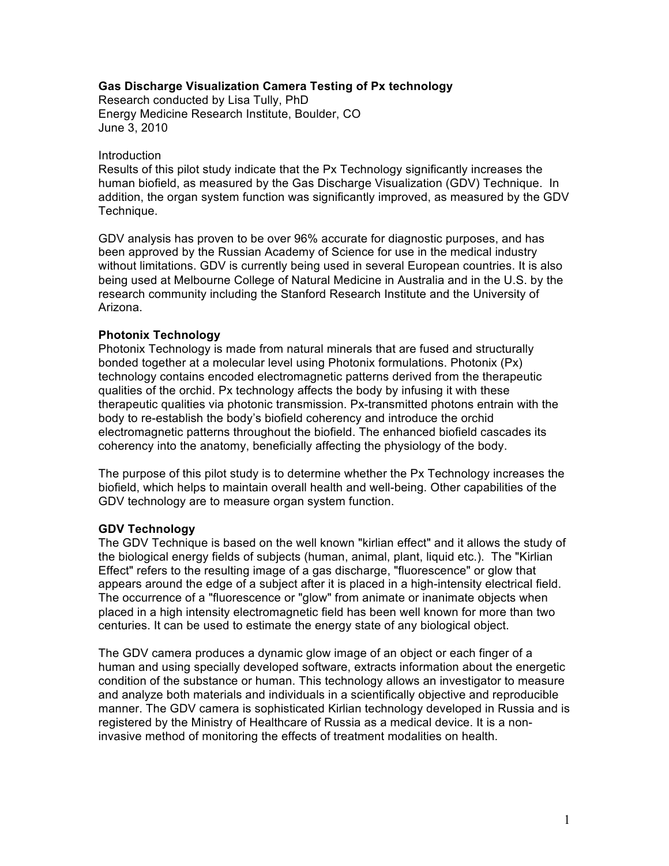## **Gas Discharge Visualization Camera Testing of Px technology**

Research conducted by Lisa Tully, PhD Energy Medicine Research Institute, Boulder, CO June 3, 2010

#### Introduction

Results of this pilot study indicate that the Px Technology significantly increases the human biofield, as measured by the Gas Discharge Visualization (GDV) Technique. In addition, the organ system function was significantly improved, as measured by the GDV Technique.

GDV analysis has proven to be over 96% accurate for diagnostic purposes, and has been approved by the Russian Academy of Science for use in the medical industry without limitations. GDV is currently being used in several European countries. It is also being used at Melbourne College of Natural Medicine in Australia and in the U.S. by the research community including the Stanford Research Institute and the University of Arizona.

### **Photonix Technology**

Photonix Technology is made from natural minerals that are fused and structurally bonded together at a molecular level using Photonix formulations. Photonix (Px) technology contains encoded electromagnetic patterns derived from the therapeutic qualities of the orchid. Px technology affects the body by infusing it with these therapeutic qualities via photonic transmission. Px-transmitted photons entrain with the body to re-establish the body's biofield coherency and introduce the orchid electromagnetic patterns throughout the biofield. The enhanced biofield cascades its coherency into the anatomy, beneficially affecting the physiology of the body.

The purpose of this pilot study is to determine whether the Px Technology increases the biofield, which helps to maintain overall health and well-being. Other capabilities of the GDV technology are to measure organ system function.

### **GDV Technology**

The GDV Technique is based on the well known "kirlian effect" and it allows the study of the biological energy fields of subjects (human, animal, plant, liquid etc.). The "Kirlian Effect" refers to the resulting image of a gas discharge, "fluorescence" or glow that appears around the edge of a subject after it is placed in a high-intensity electrical field. The occurrence of a "fluorescence or "glow" from animate or inanimate objects when placed in a high intensity electromagnetic field has been well known for more than two centuries. It can be used to estimate the energy state of any biological object.

The GDV camera produces a dynamic glow image of an object or each finger of a human and using specially developed software, extracts information about the energetic condition of the substance or human. This technology allows an investigator to measure and analyze both materials and individuals in a scientifically objective and reproducible manner. The GDV camera is sophisticated Kirlian technology developed in Russia and is registered by the Ministry of Healthcare of Russia as a medical device. It is a noninvasive method of monitoring the effects of treatment modalities on health.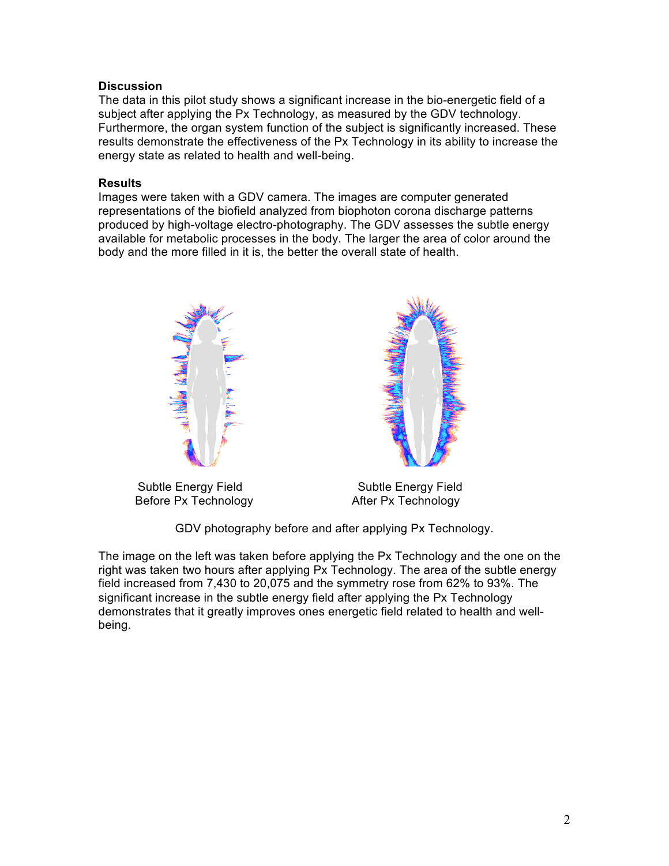# **Discussion**

The data in this pilot study shows a significant increase in the bio-energetic field of a subject after applying the Px Technology, as measured by the GDV technology. Furthermore, the organ system function of the subject is significantly increased. These results demonstrate the effectiveness of the Px Technology in its ability to increase the energy state as related to health and well-being.

## **Results**

Images were taken with a GDV camera. The images are computer generated representations of the biofield analyzed from biophoton corona discharge patterns produced by high-voltage electro-photography. The GDV assesses the subtle energy available for metabolic processes in the body. The larger the area of color around the body and the more filled in it is, the better the overall state of health.







GDV photography before and after applying Px Technology.

The image on the left was taken before applying the Px Technology and the one on the right was taken two hours after applying Px Technology. The area of the subtle energy field increased from 7,430 to 20,075 and the symmetry rose from 62% to 93%. The significant increase in the subtle energy field after applying the Px Technology demonstrates that it greatly improves ones energetic field related to health and wellbeing.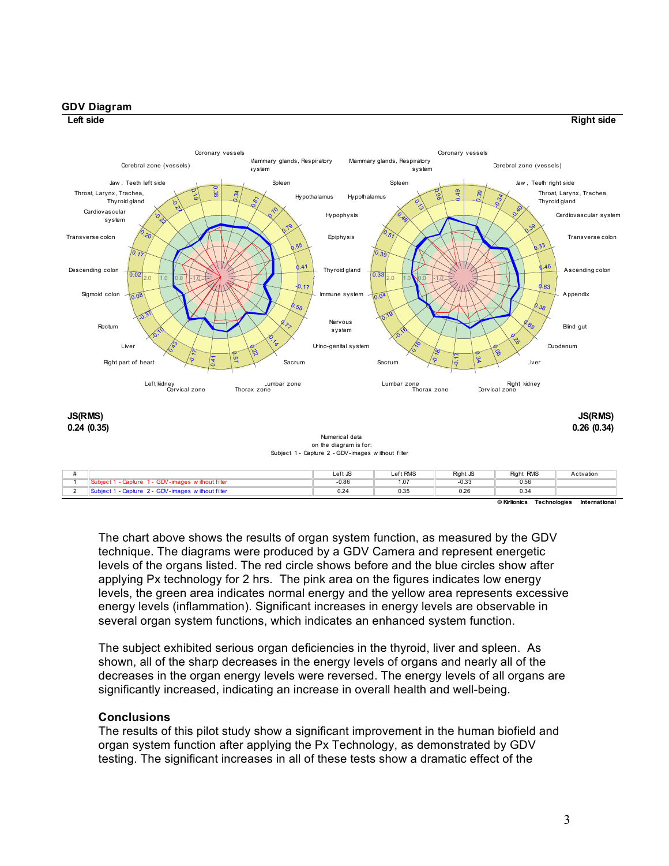

The chart above shows the results of organ system function, as measured by the GDV technique. The diagrams were produced by a GDV Camera and represent energetic levels of the organs listed. The red circle shows before and the blue circles show after applying Px technology for 2 hrs. The pink area on the figures indicates low energy levels, the green area indicates normal energy and the yellow area represents excessive energy levels (inflammation). Significant increases in energy levels are observable in several organ system functions, which indicates an enhanced system function.

The subject exhibited serious organ deficiencies in the thyroid, liver and spleen. As shown, all of the sharp decreases in the energy levels of organs and nearly all of the decreases in the organ energy levels were reversed. The energy levels of all organs are significantly increased, indicating an increase in overall health and well-being.

### **Conclusions**

The results of this pilot study show a significant improvement in the human biofield and organ system function after applying the Px Technology, as demonstrated by GDV testing. The significant increases in all of these tests show a dramatic effect of the